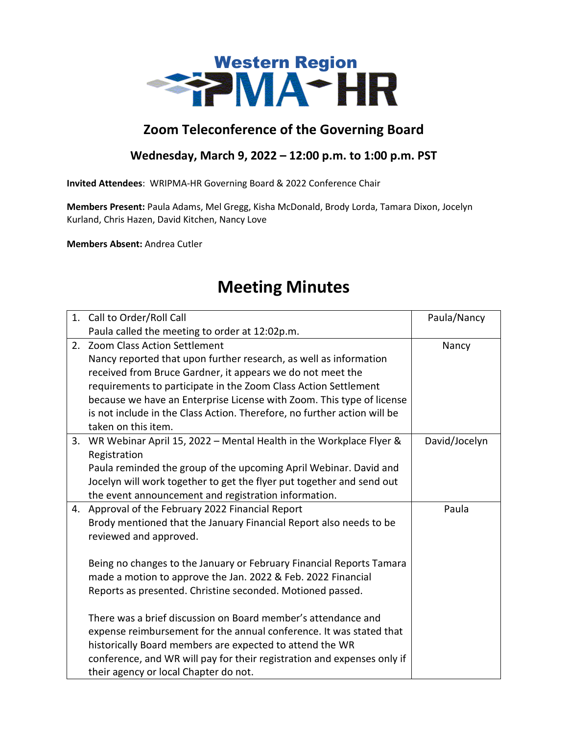

## **Zoom Teleconference of the Governing Board**

## **Wednesday, March 9, 2022 – 12:00 p.m. to 1:00 p.m. PST**

**Invited Attendees**: WRIPMA-HR Governing Board & 2022 Conference Chair

**Members Present:** Paula Adams, Mel Gregg, Kisha McDonald, Brody Lorda, Tamara Dixon, Jocelyn Kurland, Chris Hazen, David Kitchen, Nancy Love

**Members Absent:** Andrea Cutler

## **Meeting Minutes**

|    | 1. Call to Order/Roll Call                                               | Paula/Nancy   |
|----|--------------------------------------------------------------------------|---------------|
|    | Paula called the meeting to order at 12:02p.m.                           |               |
| 2. | <b>Zoom Class Action Settlement</b>                                      | Nancy         |
|    | Nancy reported that upon further research, as well as information        |               |
|    | received from Bruce Gardner, it appears we do not meet the               |               |
|    | requirements to participate in the Zoom Class Action Settlement          |               |
|    | because we have an Enterprise License with Zoom. This type of license    |               |
|    | is not include in the Class Action. Therefore, no further action will be |               |
|    | taken on this item.                                                      |               |
| 3. | WR Webinar April 15, 2022 - Mental Health in the Workplace Flyer &       | David/Jocelyn |
|    | Registration                                                             |               |
|    | Paula reminded the group of the upcoming April Webinar. David and        |               |
|    | Jocelyn will work together to get the flyer put together and send out    |               |
|    | the event announcement and registration information.                     |               |
| 4. | Approval of the February 2022 Financial Report                           | Paula         |
|    | Brody mentioned that the January Financial Report also needs to be       |               |
|    | reviewed and approved.                                                   |               |
|    |                                                                          |               |
|    | Being no changes to the January or February Financial Reports Tamara     |               |
|    | made a motion to approve the Jan. 2022 & Feb. 2022 Financial             |               |
|    | Reports as presented. Christine seconded. Motioned passed.               |               |
|    | There was a brief discussion on Board member's attendance and            |               |
|    | expense reimbursement for the annual conference. It was stated that      |               |
|    | historically Board members are expected to attend the WR                 |               |
|    | conference, and WR will pay for their registration and expenses only if  |               |
|    | their agency or local Chapter do not.                                    |               |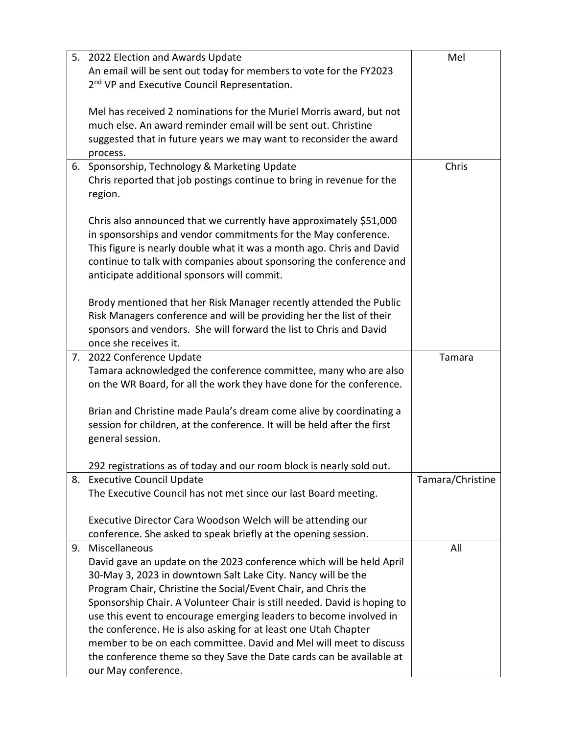|    | 5. 2022 Election and Awards Update                                       | Mel              |
|----|--------------------------------------------------------------------------|------------------|
|    | An email will be sent out today for members to vote for the FY2023       |                  |
|    | 2 <sup>nd</sup> VP and Executive Council Representation.                 |                  |
|    |                                                                          |                  |
|    | Mel has received 2 nominations for the Muriel Morris award, but not      |                  |
|    | much else. An award reminder email will be sent out. Christine           |                  |
|    |                                                                          |                  |
|    | suggested that in future years we may want to reconsider the award       |                  |
|    | process.                                                                 |                  |
| 6. | Sponsorship, Technology & Marketing Update                               | Chris            |
|    | Chris reported that job postings continue to bring in revenue for the    |                  |
|    | region.                                                                  |                  |
|    |                                                                          |                  |
|    | Chris also announced that we currently have approximately \$51,000       |                  |
|    | in sponsorships and vendor commitments for the May conference.           |                  |
|    | This figure is nearly double what it was a month ago. Chris and David    |                  |
|    | continue to talk with companies about sponsoring the conference and      |                  |
|    | anticipate additional sponsors will commit.                              |                  |
|    |                                                                          |                  |
|    | Brody mentioned that her Risk Manager recently attended the Public       |                  |
|    | Risk Managers conference and will be providing her the list of their     |                  |
|    | sponsors and vendors. She will forward the list to Chris and David       |                  |
|    | once she receives it.                                                    |                  |
| 7. | 2022 Conference Update                                                   | Tamara           |
|    | Tamara acknowledged the conference committee, many who are also          |                  |
|    | on the WR Board, for all the work they have done for the conference.     |                  |
|    |                                                                          |                  |
|    | Brian and Christine made Paula's dream come alive by coordinating a      |                  |
|    | session for children, at the conference. It will be held after the first |                  |
|    | general session.                                                         |                  |
|    |                                                                          |                  |
|    | 292 registrations as of today and our room block is nearly sold out.     |                  |
|    | 8. Executive Council Update                                              | Tamara/Christine |
|    | The Executive Council has not met since our last Board meeting.          |                  |
|    |                                                                          |                  |
|    | Executive Director Cara Woodson Welch will be attending our              |                  |
|    | conference. She asked to speak briefly at the opening session.           |                  |
| 9. | Miscellaneous                                                            | All              |
|    | David gave an update on the 2023 conference which will be held April     |                  |
|    | 30-May 3, 2023 in downtown Salt Lake City. Nancy will be the             |                  |
|    | Program Chair, Christine the Social/Event Chair, and Chris the           |                  |
|    |                                                                          |                  |
|    | Sponsorship Chair. A Volunteer Chair is still needed. David is hoping to |                  |
|    | use this event to encourage emerging leaders to become involved in       |                  |
|    | the conference. He is also asking for at least one Utah Chapter          |                  |
|    | member to be on each committee. David and Mel will meet to discuss       |                  |
|    | the conference theme so they Save the Date cards can be available at     |                  |
|    | our May conference.                                                      |                  |